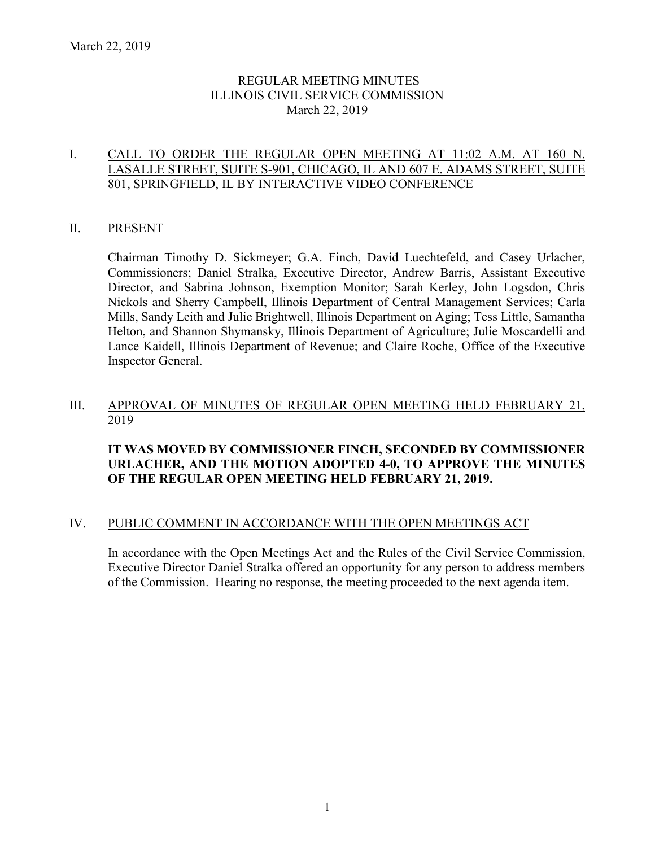## REGULAR MEETING MINUTES ILLINOIS CIVIL SERVICE COMMISSION March 22, 2019

## I. CALL TO ORDER THE REGULAR OPEN MEETING AT 11:02 A.M. AT 160 N. LASALLE STREET, SUITE S-901, CHICAGO, IL AND 607 E. ADAMS STREET, SUITE 801, SPRINGFIELD, IL BY INTERACTIVE VIDEO CONFERENCE

## II. PRESENT

Chairman Timothy D. Sickmeyer; G.A. Finch, David Luechtefeld, and Casey Urlacher, Commissioners; Daniel Stralka, Executive Director, Andrew Barris, Assistant Executive Director, and Sabrina Johnson, Exemption Monitor; Sarah Kerley, John Logsdon, Chris Nickols and Sherry Campbell, Illinois Department of Central Management Services; Carla Mills, Sandy Leith and Julie Brightwell, Illinois Department on Aging; Tess Little, Samantha Helton, and Shannon Shymansky, Illinois Department of Agriculture; Julie Moscardelli and Lance Kaidell, Illinois Department of Revenue; and Claire Roche, Office of the Executive Inspector General.

#### III. APPROVAL OF MINUTES OF REGULAR OPEN MEETING HELD FEBRUARY 21, 2019

## **IT WAS MOVED BY COMMISSIONER FINCH, SECONDED BY COMMISSIONER URLACHER, AND THE MOTION ADOPTED 4-0, TO APPROVE THE MINUTES OF THE REGULAR OPEN MEETING HELD FEBRUARY 21, 2019.**

#### IV. PUBLIC COMMENT IN ACCORDANCE WITH THE OPEN MEETINGS ACT

In accordance with the Open Meetings Act and the Rules of the Civil Service Commission, Executive Director Daniel Stralka offered an opportunity for any person to address members of the Commission. Hearing no response, the meeting proceeded to the next agenda item.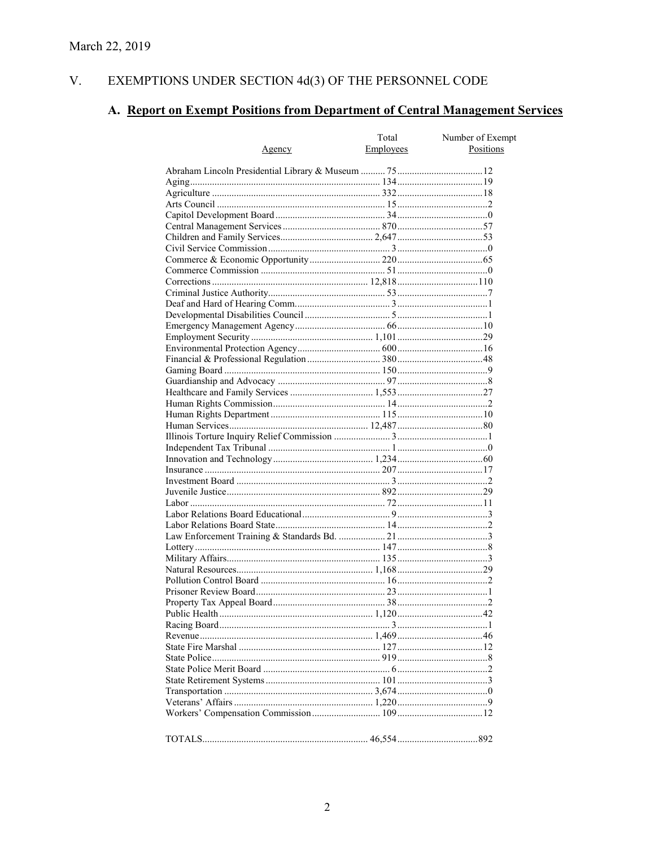#### V. EXEMPTIONS UNDER SECTION 4d(3) OF THE PERSONNEL CODE

# A. Report on Exempt Positions from Department of Central Management Services

|               | Total     | Number of Exempt |
|---------------|-----------|------------------|
| <u>Agency</u> | Employees | Positions        |
|               |           |                  |
|               |           |                  |
|               |           |                  |
|               |           |                  |
|               |           |                  |
|               |           |                  |
|               |           |                  |
|               |           |                  |
|               |           |                  |
|               |           |                  |
|               |           |                  |
|               |           |                  |
|               |           |                  |
|               |           |                  |
|               |           |                  |
|               |           |                  |
|               |           |                  |
|               |           |                  |
|               |           |                  |
|               |           |                  |
|               |           |                  |
|               |           |                  |
|               |           |                  |
|               |           |                  |
|               |           |                  |
|               |           |                  |
|               |           |                  |
|               |           |                  |
|               |           |                  |
|               |           |                  |
|               |           |                  |
|               |           |                  |
|               |           |                  |
|               |           |                  |
|               |           |                  |
|               |           |                  |
|               |           |                  |
|               |           |                  |
|               |           |                  |
|               |           |                  |
|               |           |                  |
|               |           |                  |
|               |           |                  |
|               |           |                  |
|               |           |                  |
|               |           |                  |
|               |           |                  |
|               |           |                  |
|               |           |                  |
|               |           |                  |
|               |           |                  |
|               |           |                  |
|               |           |                  |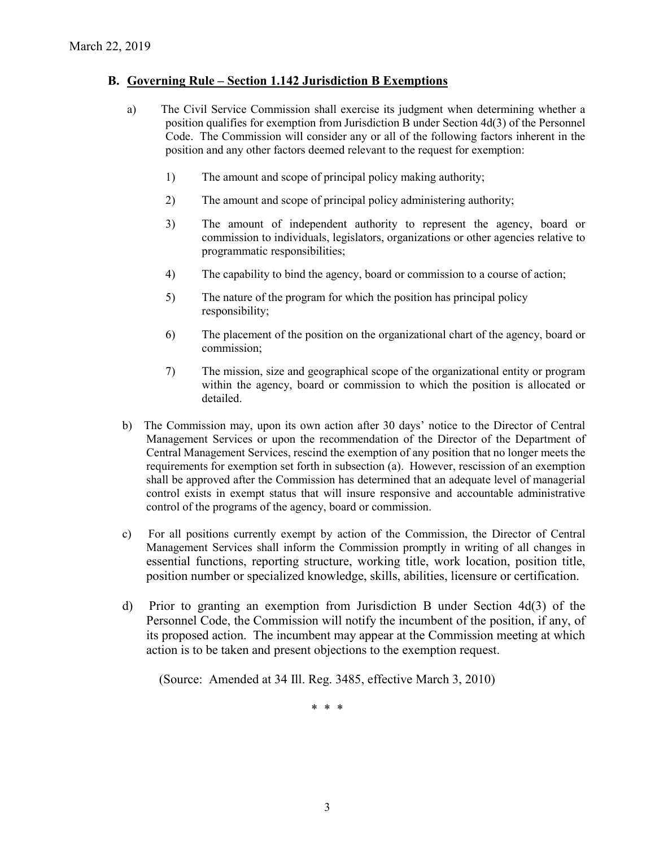## **B. Governing Rule – Section 1.142 Jurisdiction B Exemptions**

- a) The Civil Service Commission shall exercise its judgment when determining whether a position qualifies for exemption from Jurisdiction B under Section 4d(3) of the Personnel Code. The Commission will consider any or all of the following factors inherent in the position and any other factors deemed relevant to the request for exemption:
	- 1) The amount and scope of principal policy making authority;
	- 2) The amount and scope of principal policy administering authority;
	- 3) The amount of independent authority to represent the agency, board or commission to individuals, legislators, organizations or other agencies relative to programmatic responsibilities;
	- 4) The capability to bind the agency, board or commission to a course of action;
	- 5) The nature of the program for which the position has principal policy responsibility;
	- 6) The placement of the position on the organizational chart of the agency, board or commission;
	- 7) The mission, size and geographical scope of the organizational entity or program within the agency, board or commission to which the position is allocated or detailed.
- b) The Commission may, upon its own action after 30 days' notice to the Director of Central Management Services or upon the recommendation of the Director of the Department of Central Management Services, rescind the exemption of any position that no longer meets the requirements for exemption set forth in subsection (a). However, rescission of an exemption shall be approved after the Commission has determined that an adequate level of managerial control exists in exempt status that will insure responsive and accountable administrative control of the programs of the agency, board or commission.
- c) For all positions currently exempt by action of the Commission, the Director of Central Management Services shall inform the Commission promptly in writing of all changes in essential functions, reporting structure, working title, work location, position title, position number or specialized knowledge, skills, abilities, licensure or certification.
- d) Prior to granting an exemption from Jurisdiction B under Section 4d(3) of the Personnel Code, the Commission will notify the incumbent of the position, if any, of its proposed action. The incumbent may appear at the Commission meeting at which action is to be taken and present objections to the exemption request.

(Source: Amended at 34 Ill. Reg. 3485, effective March 3, 2010)

\* \* \*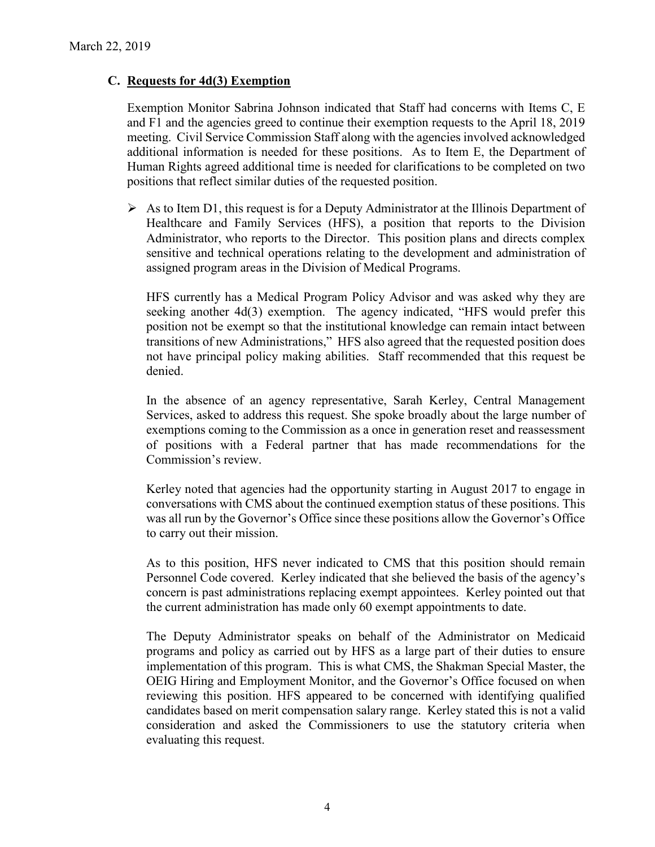## **C. Requests for 4d(3) Exemption**

Exemption Monitor Sabrina Johnson indicated that Staff had concerns with Items C, E and F1 and the agencies greed to continue their exemption requests to the April 18, 2019 meeting. Civil Service Commission Staff along with the agencies involved acknowledged additional information is needed for these positions. As to Item E, the Department of Human Rights agreed additional time is needed for clarifications to be completed on two positions that reflect similar duties of the requested position.

 $\triangleright$  As to Item D1, this request is for a Deputy Administrator at the Illinois Department of Healthcare and Family Services (HFS), a position that reports to the Division Administrator, who reports to the Director. This position plans and directs complex sensitive and technical operations relating to the development and administration of assigned program areas in the Division of Medical Programs.

HFS currently has a Medical Program Policy Advisor and was asked why they are seeking another 4d(3) exemption. The agency indicated, "HFS would prefer this position not be exempt so that the institutional knowledge can remain intact between transitions of new Administrations," HFS also agreed that the requested position does not have principal policy making abilities. Staff recommended that this request be denied.

In the absence of an agency representative, Sarah Kerley, Central Management Services, asked to address this request. She spoke broadly about the large number of exemptions coming to the Commission as a once in generation reset and reassessment of positions with a Federal partner that has made recommendations for the Commission's review.

Kerley noted that agencies had the opportunity starting in August 2017 to engage in conversations with CMS about the continued exemption status of these positions. This was all run by the Governor's Office since these positions allow the Governor's Office to carry out their mission.

As to this position, HFS never indicated to CMS that this position should remain Personnel Code covered. Kerley indicated that she believed the basis of the agency's concern is past administrations replacing exempt appointees. Kerley pointed out that the current administration has made only 60 exempt appointments to date.

The Deputy Administrator speaks on behalf of the Administrator on Medicaid programs and policy as carried out by HFS as a large part of their duties to ensure implementation of this program. This is what CMS, the Shakman Special Master, the OEIG Hiring and Employment Monitor, and the Governor's Office focused on when reviewing this position. HFS appeared to be concerned with identifying qualified candidates based on merit compensation salary range. Kerley stated this is not a valid consideration and asked the Commissioners to use the statutory criteria when evaluating this request.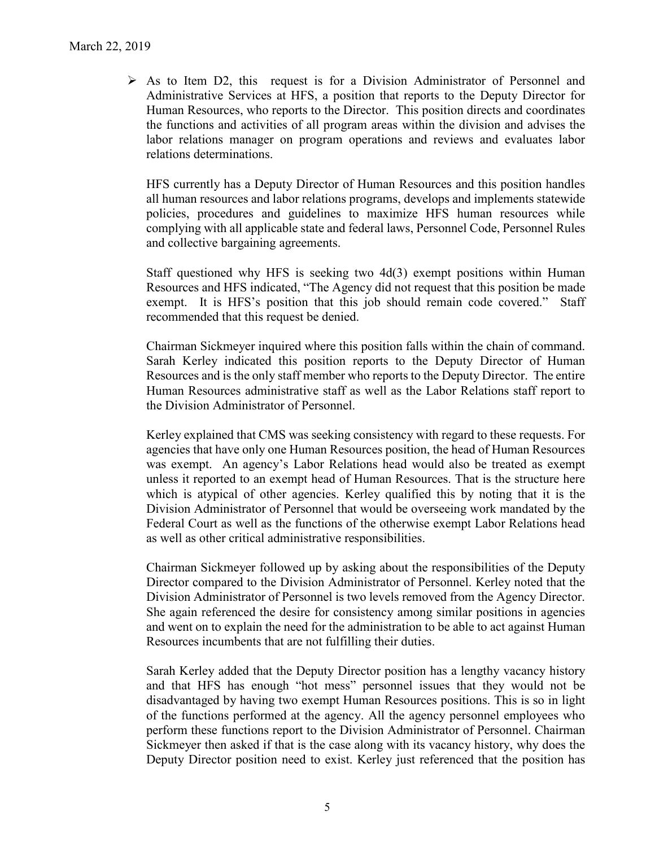$\triangleright$  As to Item D2, this request is for a Division Administrator of Personnel and Administrative Services at HFS, a position that reports to the Deputy Director for Human Resources, who reports to the Director. This position directs and coordinates the functions and activities of all program areas within the division and advises the labor relations manager on program operations and reviews and evaluates labor relations determinations.

HFS currently has a Deputy Director of Human Resources and this position handles all human resources and labor relations programs, develops and implements statewide policies, procedures and guidelines to maximize HFS human resources while complying with all applicable state and federal laws, Personnel Code, Personnel Rules and collective bargaining agreements.

Staff questioned why HFS is seeking two 4d(3) exempt positions within Human Resources and HFS indicated, "The Agency did not request that this position be made exempt. It is HFS's position that this job should remain code covered." Staff recommended that this request be denied.

Chairman Sickmeyer inquired where this position falls within the chain of command. Sarah Kerley indicated this position reports to the Deputy Director of Human Resources and is the only staff member who reports to the Deputy Director. The entire Human Resources administrative staff as well as the Labor Relations staff report to the Division Administrator of Personnel.

Kerley explained that CMS was seeking consistency with regard to these requests. For agencies that have only one Human Resources position, the head of Human Resources was exempt. An agency's Labor Relations head would also be treated as exempt unless it reported to an exempt head of Human Resources. That is the structure here which is atypical of other agencies. Kerley qualified this by noting that it is the Division Administrator of Personnel that would be overseeing work mandated by the Federal Court as well as the functions of the otherwise exempt Labor Relations head as well as other critical administrative responsibilities.

Chairman Sickmeyer followed up by asking about the responsibilities of the Deputy Director compared to the Division Administrator of Personnel. Kerley noted that the Division Administrator of Personnel is two levels removed from the Agency Director. She again referenced the desire for consistency among similar positions in agencies and went on to explain the need for the administration to be able to act against Human Resources incumbents that are not fulfilling their duties.

Sarah Kerley added that the Deputy Director position has a lengthy vacancy history and that HFS has enough "hot mess" personnel issues that they would not be disadvantaged by having two exempt Human Resources positions. This is so in light of the functions performed at the agency. All the agency personnel employees who perform these functions report to the Division Administrator of Personnel. Chairman Sickmeyer then asked if that is the case along with its vacancy history, why does the Deputy Director position need to exist. Kerley just referenced that the position has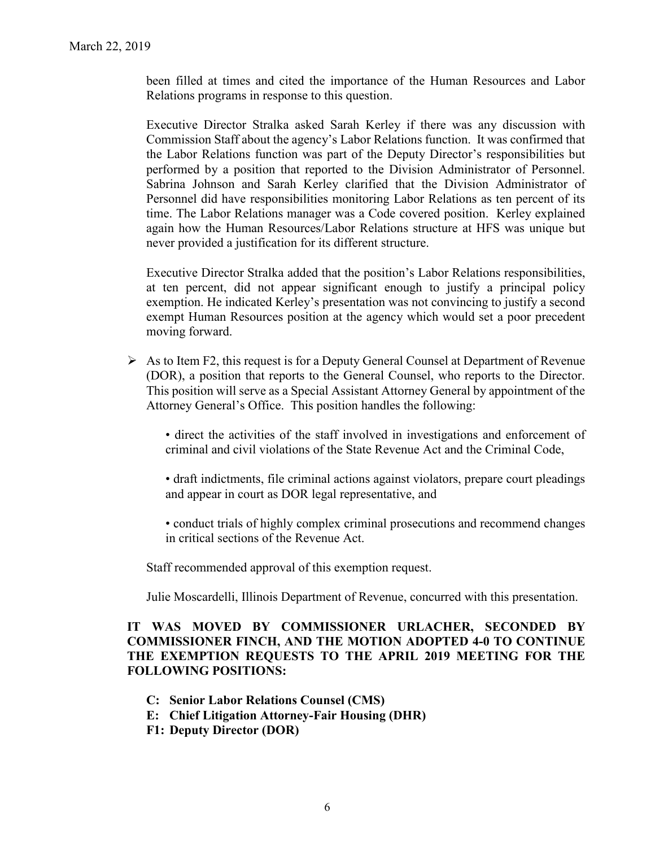been filled at times and cited the importance of the Human Resources and Labor Relations programs in response to this question.

Executive Director Stralka asked Sarah Kerley if there was any discussion with Commission Staff about the agency's Labor Relations function. It was confirmed that the Labor Relations function was part of the Deputy Director's responsibilities but performed by a position that reported to the Division Administrator of Personnel. Sabrina Johnson and Sarah Kerley clarified that the Division Administrator of Personnel did have responsibilities monitoring Labor Relations as ten percent of its time. The Labor Relations manager was a Code covered position. Kerley explained again how the Human Resources/Labor Relations structure at HFS was unique but never provided a justification for its different structure.

Executive Director Stralka added that the position's Labor Relations responsibilities, at ten percent, did not appear significant enough to justify a principal policy exemption. He indicated Kerley's presentation was not convincing to justify a second exempt Human Resources position at the agency which would set a poor precedent moving forward.

 $\triangleright$  As to Item F2, this request is for a Deputy General Counsel at Department of Revenue (DOR), a position that reports to the General Counsel, who reports to the Director. This position will serve as a Special Assistant Attorney General by appointment of the Attorney General's Office. This position handles the following:

• direct the activities of the staff involved in investigations and enforcement of criminal and civil violations of the State Revenue Act and the Criminal Code,

• draft indictments, file criminal actions against violators, prepare court pleadings and appear in court as DOR legal representative, and

• conduct trials of highly complex criminal prosecutions and recommend changes in critical sections of the Revenue Act.

Staff recommended approval of this exemption request.

Julie Moscardelli, Illinois Department of Revenue, concurred with this presentation.

## **IT WAS MOVED BY COMMISSIONER URLACHER, SECONDED BY COMMISSIONER FINCH, AND THE MOTION ADOPTED 4-0 TO CONTINUE THE EXEMPTION REQUESTS TO THE APRIL 2019 MEETING FOR THE FOLLOWING POSITIONS:**

- **C: Senior Labor Relations Counsel (CMS)**
- **E: Chief Litigation Attorney-Fair Housing (DHR)**
- **F1: Deputy Director (DOR)**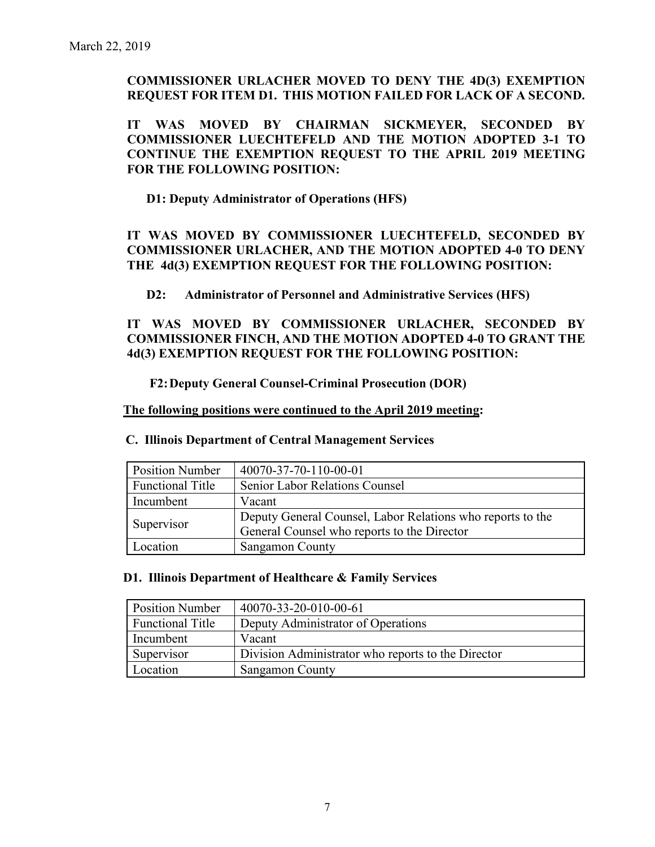## **COMMISSIONER URLACHER MOVED TO DENY THE 4D(3) EXEMPTION REQUEST FOR ITEM D1. THIS MOTION FAILED FOR LACK OF A SECOND.**

**IT WAS MOVED BY CHAIRMAN SICKMEYER, SECONDED BY COMMISSIONER LUECHTEFELD AND THE MOTION ADOPTED 3-1 TO CONTINUE THE EXEMPTION REQUEST TO THE APRIL 2019 MEETING FOR THE FOLLOWING POSITION:**

**D1: Deputy Administrator of Operations (HFS)**

**IT WAS MOVED BY COMMISSIONER LUECHTEFELD, SECONDED BY COMMISSIONER URLACHER, AND THE MOTION ADOPTED 4-0 TO DENY THE 4d(3) EXEMPTION REQUEST FOR THE FOLLOWING POSITION:**

**D2: Administrator of Personnel and Administrative Services (HFS)**

**IT WAS MOVED BY COMMISSIONER URLACHER, SECONDED BY COMMISSIONER FINCH, AND THE MOTION ADOPTED 4-0 TO GRANT THE 4d(3) EXEMPTION REQUEST FOR THE FOLLOWING POSITION:**

**F2:Deputy General Counsel-Criminal Prosecution (DOR)**

**The following positions were continued to the April 2019 meeting:** 

| <b>Position Number</b>  | 40070-37-70-110-00-01                                      |  |
|-------------------------|------------------------------------------------------------|--|
| <b>Functional Title</b> | <b>Senior Labor Relations Counsel</b>                      |  |
| Incumbent               | Vacant                                                     |  |
|                         | Deputy General Counsel, Labor Relations who reports to the |  |
| Supervisor              | General Counsel who reports to the Director                |  |
| Location                | <b>Sangamon County</b>                                     |  |

#### **C. Illinois Department of Central Management Services**

#### **D1. Illinois Department of Healthcare & Family Services**

| <b>Position Number</b>  | 40070-33-20-010-00-61                              |
|-------------------------|----------------------------------------------------|
| <b>Functional Title</b> | Deputy Administrator of Operations                 |
| Incumbent               | Vacant                                             |
| Supervisor              | Division Administrator who reports to the Director |
| Location                | <b>Sangamon County</b>                             |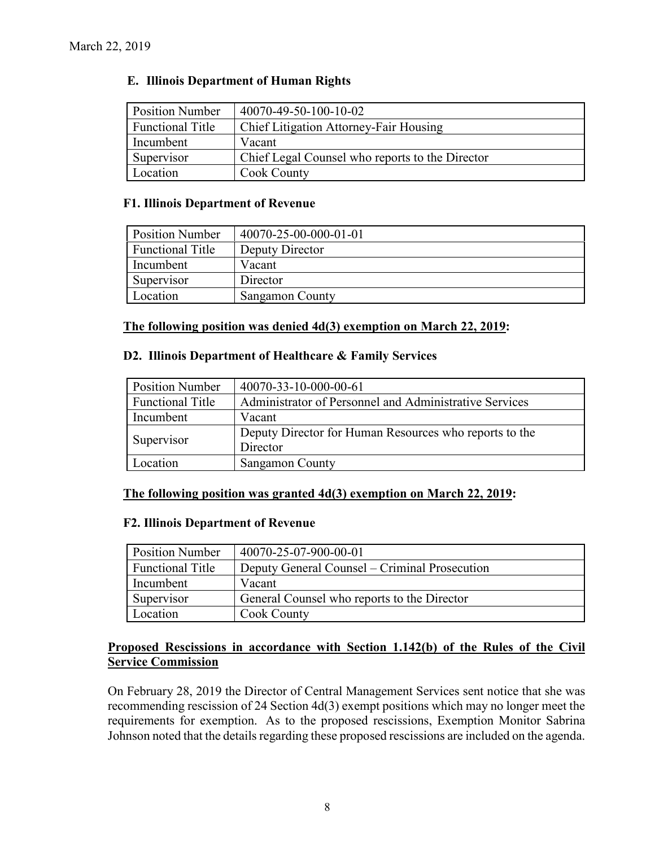## **E. Illinois Department of Human Rights**

| <b>Position Number</b>  | 40070-49-50-100-10-02                           |
|-------------------------|-------------------------------------------------|
| <b>Functional Title</b> | <b>Chief Litigation Attorney-Fair Housing</b>   |
| Incumbent               | Vacant                                          |
| Supervisor              | Chief Legal Counsel who reports to the Director |
| Location                | Cook County                                     |

#### **F1. Illinois Department of Revenue**

| <b>Position Number</b>  | 40070-25-00-000-01-01  |
|-------------------------|------------------------|
| <b>Functional Title</b> | Deputy Director        |
| Incumbent               | Vacant                 |
| Supervisor              | Director               |
| Location                | <b>Sangamon County</b> |

#### **The following position was denied 4d(3) exemption on March 22, 2019:**

#### **D2. Illinois Department of Healthcare & Family Services**

| <b>Position Number</b>  | 40070-33-10-000-00-61                                  |
|-------------------------|--------------------------------------------------------|
| <b>Functional Title</b> | Administrator of Personnel and Administrative Services |
| Incumbent               | Vacant                                                 |
|                         | Deputy Director for Human Resources who reports to the |
| Supervisor              | Director                                               |
| Location                | Sangamon County                                        |

#### **The following position was granted 4d(3) exemption on March 22, 2019:**

#### **F2. Illinois Department of Revenue**

| <b>Position Number</b>  | 40070-25-07-900-00-01                         |
|-------------------------|-----------------------------------------------|
| <b>Functional Title</b> | Deputy General Counsel – Criminal Prosecution |
| Incumbent               | Vacant                                        |
| Supervisor              | General Counsel who reports to the Director   |
| Location                | Cook County                                   |

## **Proposed Rescissions in accordance with Section 1.142(b) of the Rules of the Civil Service Commission**

On February 28, 2019 the Director of Central Management Services sent notice that she was recommending rescission of 24 Section 4d(3) exempt positions which may no longer meet the requirements for exemption. As to the proposed rescissions, Exemption Monitor Sabrina Johnson noted that the details regarding these proposed rescissions are included on the agenda.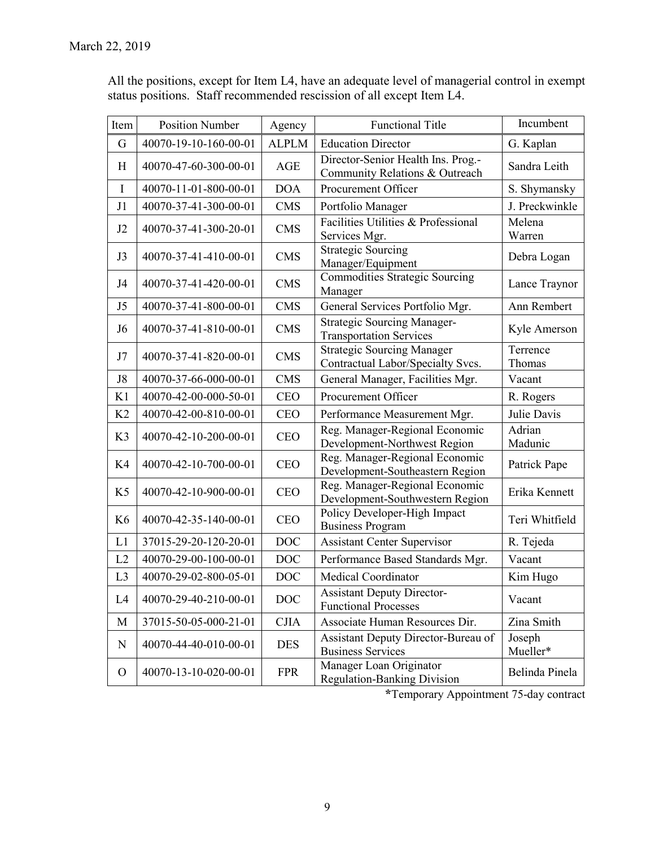| All the positions, except for Item L4, have an adequate level of managerial control in exempt |
|-----------------------------------------------------------------------------------------------|
| status positions. Staff recommended rescission of all except Item L4.                         |

| Item           | <b>Position Number</b> | Agency       | <b>Functional Title</b>                                                | Incumbent          |
|----------------|------------------------|--------------|------------------------------------------------------------------------|--------------------|
| G              | 40070-19-10-160-00-01  | <b>ALPLM</b> | <b>Education Director</b>                                              | G. Kaplan          |
| H              | 40070-47-60-300-00-01  | AGE          | Director-Senior Health Ins. Prog.-<br>Community Relations & Outreach   | Sandra Leith       |
| $\mathbf I$    | 40070-11-01-800-00-01  | <b>DOA</b>   | Procurement Officer                                                    | S. Shymansky       |
| J1             | 40070-37-41-300-00-01  | <b>CMS</b>   | Portfolio Manager                                                      | J. Preckwinkle     |
| J2             | 40070-37-41-300-20-01  | <b>CMS</b>   | Facilities Utilities & Professional<br>Services Mgr.                   | Melena<br>Warren   |
| J3             | 40070-37-41-410-00-01  | <b>CMS</b>   | <b>Strategic Sourcing</b><br>Manager/Equipment                         | Debra Logan        |
| J <sub>4</sub> | 40070-37-41-420-00-01  | <b>CMS</b>   | <b>Commodities Strategic Sourcing</b><br>Manager                       | Lance Traynor      |
| J <sub>5</sub> | 40070-37-41-800-00-01  | <b>CMS</b>   | General Services Portfolio Mgr.                                        | Ann Rembert        |
| J <sub>6</sub> | 40070-37-41-810-00-01  | <b>CMS</b>   | <b>Strategic Sourcing Manager-</b><br><b>Transportation Services</b>   | Kyle Amerson       |
| J7             | 40070-37-41-820-00-01  | <b>CMS</b>   | <b>Strategic Sourcing Manager</b><br>Contractual Labor/Specialty Svcs. | Terrence<br>Thomas |
| J8             | 40070-37-66-000-00-01  | <b>CMS</b>   | General Manager, Facilities Mgr.                                       | Vacant             |
| K1             | 40070-42-00-000-50-01  | <b>CEO</b>   | Procurement Officer                                                    | R. Rogers          |
| K <sub>2</sub> | 40070-42-00-810-00-01  | <b>CEO</b>   | Performance Measurement Mgr.                                           | Julie Davis        |
| K3             | 40070-42-10-200-00-01  | <b>CEO</b>   | Reg. Manager-Regional Economic<br>Development-Northwest Region         | Adrian<br>Madunic  |
| K4             | 40070-42-10-700-00-01  | <b>CEO</b>   | Reg. Manager-Regional Economic<br>Development-Southeastern Region      | Patrick Pape       |
| K <sub>5</sub> | 40070-42-10-900-00-01  | <b>CEO</b>   | Reg. Manager-Regional Economic<br>Development-Southwestern Region      | Erika Kennett      |
| K <sub>6</sub> | 40070-42-35-140-00-01  | <b>CEO</b>   | Policy Developer-High Impact<br><b>Business Program</b>                | Teri Whitfield     |
| L1             | 37015-29-20-120-20-01  | <b>DOC</b>   | <b>Assistant Center Supervisor</b>                                     | R. Tejeda          |
| L2             | 40070-29-00-100-00-01  | <b>DOC</b>   | Performance Based Standards Mgr.                                       | Vacant             |
| L3             | 40070-29-02-800-05-01  | <b>DOC</b>   | <b>Medical Coordinator</b>                                             | Kim Hugo           |
| L4             | 40070-29-40-210-00-01  | <b>DOC</b>   | <b>Assistant Deputy Director-</b><br><b>Functional Processes</b>       | Vacant             |
| M              | 37015-50-05-000-21-01  | <b>CJIA</b>  | Associate Human Resources Dir.                                         | Zina Smith         |
| $\mathbf N$    | 40070-44-40-010-00-01  | <b>DES</b>   | Assistant Deputy Director-Bureau of<br><b>Business Services</b>        | Joseph<br>Mueller* |
| $\mathbf{O}$   | 40070-13-10-020-00-01  | <b>FPR</b>   | Manager Loan Originator<br><b>Regulation-Banking Division</b>          | Belinda Pinela     |

**\***Temporary Appointment 75-day contract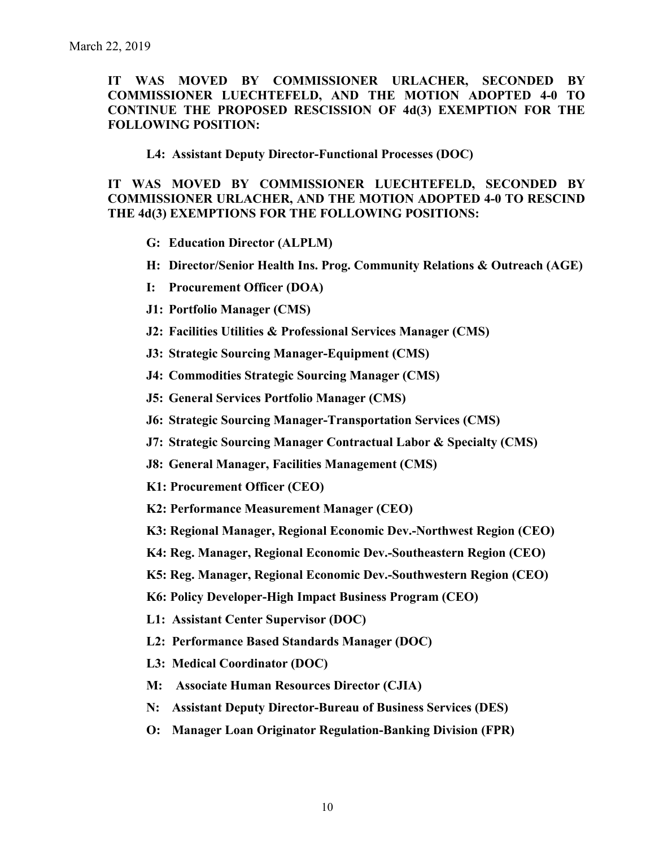**IT WAS MOVED BY COMMISSIONER URLACHER, SECONDED BY COMMISSIONER LUECHTEFELD, AND THE MOTION ADOPTED 4-0 TO CONTINUE THE PROPOSED RESCISSION OF 4d(3) EXEMPTION FOR THE FOLLOWING POSITION:**

**L4: Assistant Deputy Director-Functional Processes (DOC)**

**IT WAS MOVED BY COMMISSIONER LUECHTEFELD, SECONDED BY COMMISSIONER URLACHER, AND THE MOTION ADOPTED 4-0 TO RESCIND THE 4d(3) EXEMPTIONS FOR THE FOLLOWING POSITIONS:**

- **G: Education Director (ALPLM)**
- **H: Director/Senior Health Ins. Prog. Community Relations & Outreach (AGE)**
- **I: Procurement Officer (DOA)**
- **J1: Portfolio Manager (CMS)**
- **J2: Facilities Utilities & Professional Services Manager (CMS)**
- **J3: Strategic Sourcing Manager-Equipment (CMS)**
- **J4: Commodities Strategic Sourcing Manager (CMS)**
- **J5: General Services Portfolio Manager (CMS)**
- **J6: Strategic Sourcing Manager-Transportation Services (CMS)**
- **J7: Strategic Sourcing Manager Contractual Labor & Specialty (CMS)**
- **J8: General Manager, Facilities Management (CMS)**
- **K1: Procurement Officer (CEO)**
- **K2: Performance Measurement Manager (CEO)**
- **K3: Regional Manager, Regional Economic Dev.-Northwest Region (CEO)**
- **K4: Reg. Manager, Regional Economic Dev.-Southeastern Region (CEO)**
- **K5: Reg. Manager, Regional Economic Dev.-Southwestern Region (CEO)**
- **K6: Policy Developer-High Impact Business Program (CEO)**
- **L1: Assistant Center Supervisor (DOC)**
- **L2: Performance Based Standards Manager (DOC)**
- **L3: Medical Coordinator (DOC)**
- **M: Associate Human Resources Director (CJIA)**
- **N: Assistant Deputy Director-Bureau of Business Services (DES)**
- **O: Manager Loan Originator Regulation-Banking Division (FPR)**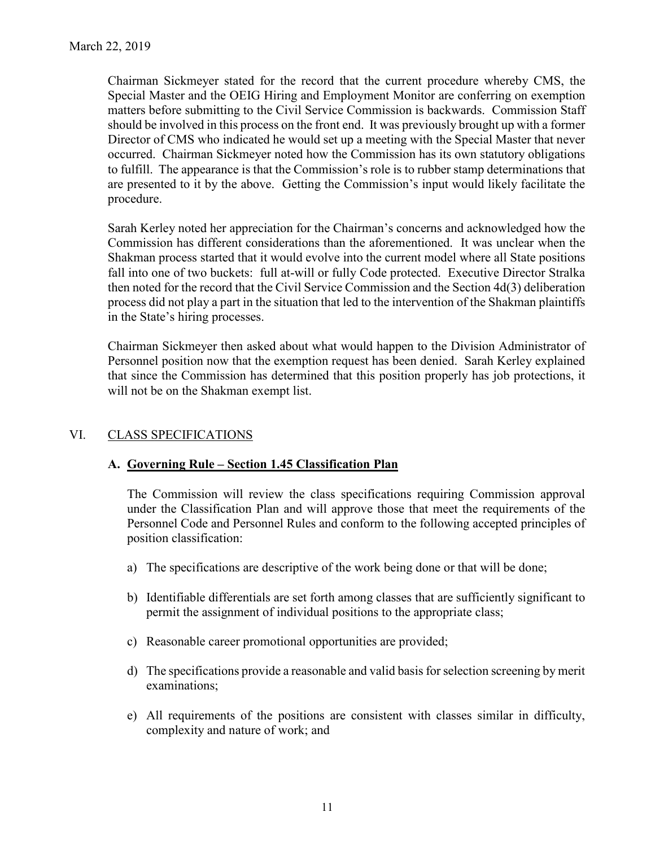Chairman Sickmeyer stated for the record that the current procedure whereby CMS, the Special Master and the OEIG Hiring and Employment Monitor are conferring on exemption matters before submitting to the Civil Service Commission is backwards. Commission Staff should be involved in this process on the front end. It was previously brought up with a former Director of CMS who indicated he would set up a meeting with the Special Master that never occurred. Chairman Sickmeyer noted how the Commission has its own statutory obligations to fulfill. The appearance is that the Commission's role is to rubber stamp determinations that are presented to it by the above. Getting the Commission's input would likely facilitate the procedure.

Sarah Kerley noted her appreciation for the Chairman's concerns and acknowledged how the Commission has different considerations than the aforementioned. It was unclear when the Shakman process started that it would evolve into the current model where all State positions fall into one of two buckets: full at-will or fully Code protected. Executive Director Stralka then noted for the record that the Civil Service Commission and the Section 4d(3) deliberation process did not play a part in the situation that led to the intervention of the Shakman plaintiffs in the State's hiring processes.

Chairman Sickmeyer then asked about what would happen to the Division Administrator of Personnel position now that the exemption request has been denied. Sarah Kerley explained that since the Commission has determined that this position properly has job protections, it will not be on the Shakman exempt list.

# VI. CLASS SPECIFICATIONS

## **A. Governing Rule – Section 1.45 Classification Plan**

The Commission will review the class specifications requiring Commission approval under the Classification Plan and will approve those that meet the requirements of the Personnel Code and Personnel Rules and conform to the following accepted principles of position classification:

- a) The specifications are descriptive of the work being done or that will be done;
- b) Identifiable differentials are set forth among classes that are sufficiently significant to permit the assignment of individual positions to the appropriate class;
- c) Reasonable career promotional opportunities are provided;
- d) The specifications provide a reasonable and valid basis for selection screening by merit examinations;
- e) All requirements of the positions are consistent with classes similar in difficulty, complexity and nature of work; and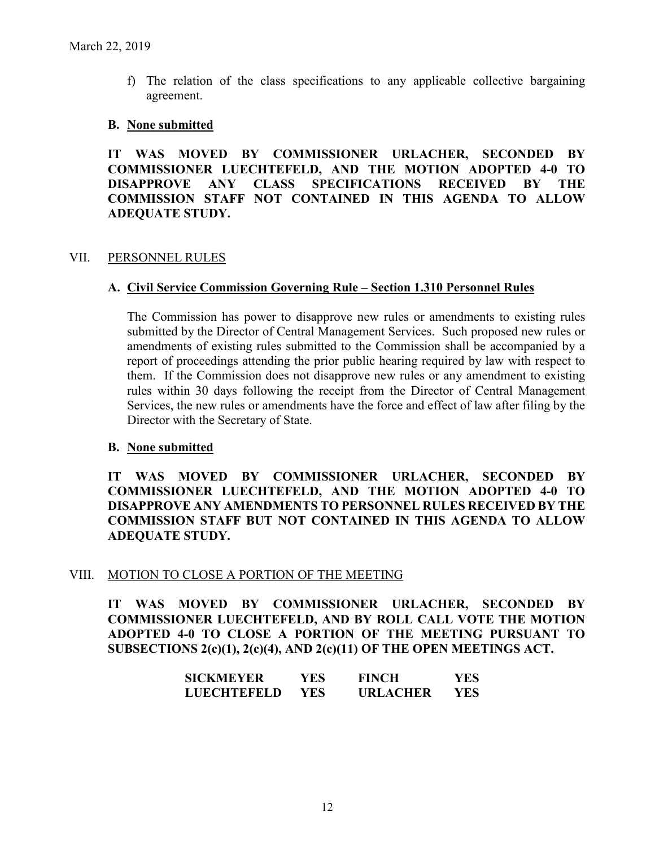f) The relation of the class specifications to any applicable collective bargaining agreement.

#### **B. None submitted**

**IT WAS MOVED BY COMMISSIONER URLACHER, SECONDED BY COMMISSIONER LUECHTEFELD, AND THE MOTION ADOPTED 4-0 TO DISAPPROVE ANY CLASS SPECIFICATIONS RECEIVED BY THE COMMISSION STAFF NOT CONTAINED IN THIS AGENDA TO ALLOW ADEQUATE STUDY.** 

#### VII. PERSONNEL RULES

#### **A. Civil Service Commission Governing Rule – Section 1.310 Personnel Rules**

The Commission has power to disapprove new rules or amendments to existing rules submitted by the Director of Central Management Services. Such proposed new rules or amendments of existing rules submitted to the Commission shall be accompanied by a report of proceedings attending the prior public hearing required by law with respect to them. If the Commission does not disapprove new rules or any amendment to existing rules within 30 days following the receipt from the Director of Central Management Services, the new rules or amendments have the force and effect of law after filing by the Director with the Secretary of State.

#### **B. None submitted**

**IT WAS MOVED BY COMMISSIONER URLACHER, SECONDED BY COMMISSIONER LUECHTEFELD, AND THE MOTION ADOPTED 4-0 TO DISAPPROVE ANY AMENDMENTS TO PERSONNEL RULES RECEIVED BY THE COMMISSION STAFF BUT NOT CONTAINED IN THIS AGENDA TO ALLOW ADEQUATE STUDY.** 

#### VIII. MOTION TO CLOSE A PORTION OF THE MEETING

**IT WAS MOVED BY COMMISSIONER URLACHER, SECONDED BY COMMISSIONER LUECHTEFELD, AND BY ROLL CALL VOTE THE MOTION ADOPTED 4-0 TO CLOSE A PORTION OF THE MEETING PURSUANT TO SUBSECTIONS 2(c)(1), 2(c)(4), AND 2(c)(11) OF THE OPEN MEETINGS ACT.**

| SICKMEYER          | YES. | <b>FINCH</b>    | YES. |
|--------------------|------|-----------------|------|
| <b>LUECHTEFELD</b> | YES. | <b>URLACHER</b> | YES. |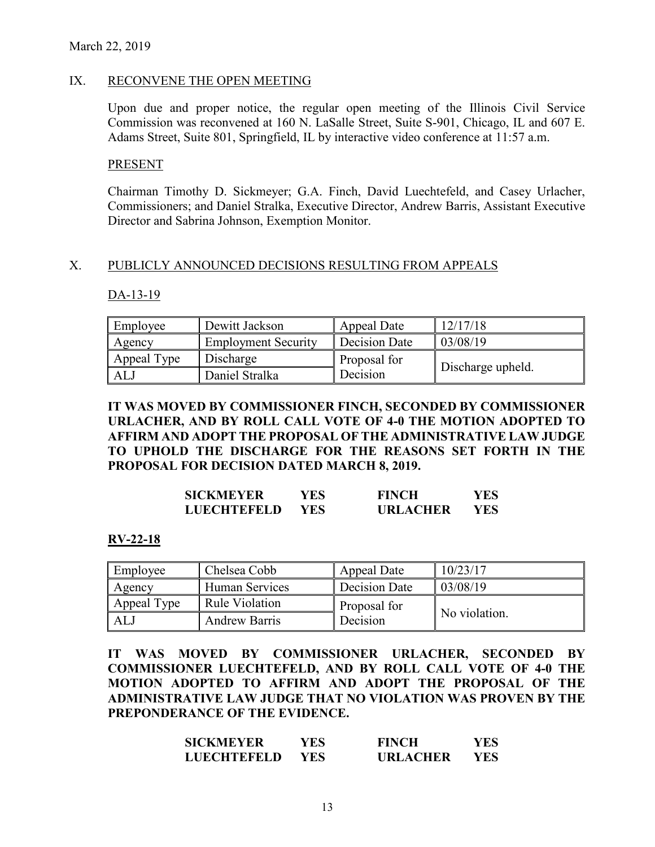#### IX. RECONVENE THE OPEN MEETING

Upon due and proper notice, the regular open meeting of the Illinois Civil Service Commission was reconvened at 160 N. LaSalle Street, Suite S-901, Chicago, IL and 607 E. Adams Street, Suite 801, Springfield, IL by interactive video conference at 11:57 a.m.

#### **PRESENT**

Chairman Timothy D. Sickmeyer; G.A. Finch, David Luechtefeld, and Casey Urlacher, Commissioners; and Daniel Stralka, Executive Director, Andrew Barris, Assistant Executive Director and Sabrina Johnson, Exemption Monitor.

#### X. PUBLICLY ANNOUNCED DECISIONS RESULTING FROM APPEALS

#### DA-13-19

| Employee    | Dewitt Jackson             | Appeal Date   | 12/17/18          |
|-------------|----------------------------|---------------|-------------------|
| Agency      | <b>Employment Security</b> | Decision Date | 03/08/19          |
| Appeal Type | Discharge                  | Proposal for  |                   |
| ALJ         | Daniel Stralka             | Decision      | Discharge upheld. |

## **IT WAS MOVED BY COMMISSIONER FINCH, SECONDED BY COMMISSIONER URLACHER, AND BY ROLL CALL VOTE OF 4-0 THE MOTION ADOPTED TO AFFIRM AND ADOPT THE PROPOSAL OF THE ADMINISTRATIVE LAW JUDGE TO UPHOLD THE DISCHARGE FOR THE REASONS SET FORTH IN THE PROPOSAL FOR DECISION DATED MARCH 8, 2019.**

| <b>SICKMEYER</b>   | YES  | <b>FINCH</b>    | YES |
|--------------------|------|-----------------|-----|
| <b>LUECHTEFELD</b> | YES. | <b>URLACHER</b> | YES |

#### **RV-22-18**

| Employee    | Chelsea Cobb          | Appeal Date   | 10/23/17      |
|-------------|-----------------------|---------------|---------------|
| Agency      | Human Services        | Decision Date | 03/08/19      |
| Appeal Type | <b>Rule Violation</b> | Proposal for  |               |
| ALJ         | <b>Andrew Barris</b>  | Decision      | No violation. |

**IT WAS MOVED BY COMMISSIONER URLACHER, SECONDED BY COMMISSIONER LUECHTEFELD, AND BY ROLL CALL VOTE OF 4-0 THE MOTION ADOPTED TO AFFIRM AND ADOPT THE PROPOSAL OF THE ADMINISTRATIVE LAW JUDGE THAT NO VIOLATION WAS PROVEN BY THE PREPONDERANCE OF THE EVIDENCE.**

| <b>SICKMEYER</b>   | YES.       | <b>FINCH</b>    | YES  |
|--------------------|------------|-----------------|------|
| <b>LUECHTEFELD</b> | <b>YES</b> | <b>URLACHER</b> | YES. |